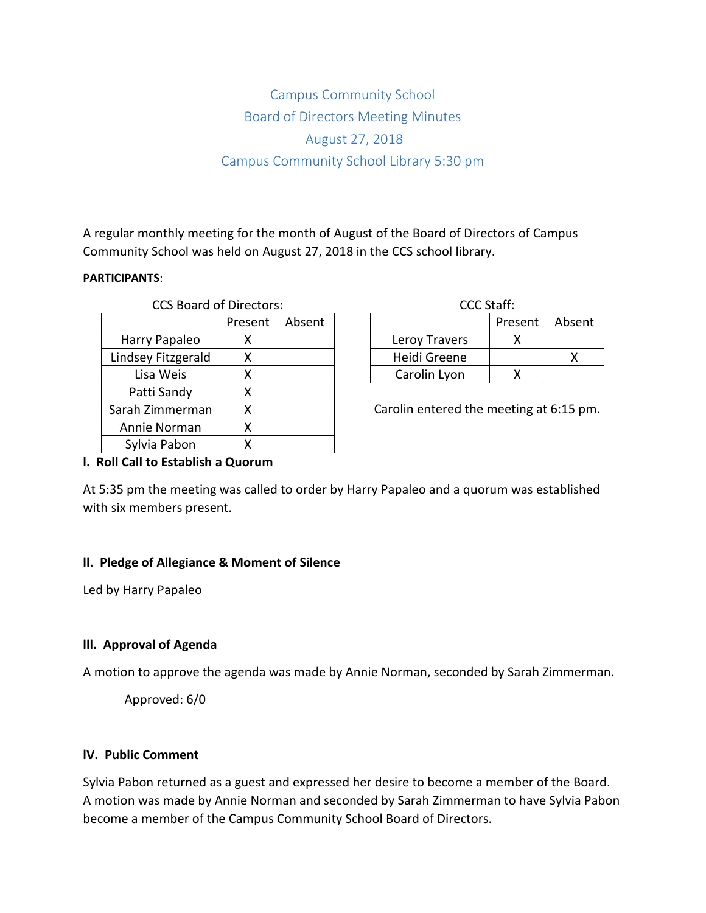# Campus Community School Board of Directors Meeting Minutes August 27, 2018 Campus Community School Library 5:30 pm

A regular monthly meeting for the month of August of the Board of Directors of Campus Community School was held on August 27, 2018 in the CCS school library.

#### **PARTICIPANTS**:

| <b>CCS Board of Directors:</b> |         |        |               | CCC Staff:                |  |
|--------------------------------|---------|--------|---------------|---------------------------|--|
|                                | Present | Absent |               | <b>Pres</b>               |  |
| Harry Papaleo                  | х       |        | Leroy Travers |                           |  |
| Lindsey Fitzgerald             | х       |        | Heidi Greene  |                           |  |
| Lisa Weis                      | χ       |        | Carolin Lyon  |                           |  |
| Patti Sandy                    | χ       |        |               |                           |  |
| Sarah Zimmerman                | Χ       |        |               | Carolin entered the meeti |  |
| Annie Norman                   | x       |        |               |                           |  |
| Sylvia Pabon                   | x       |        |               |                           |  |

| CCC Staff:    |         |        |  |  |  |
|---------------|---------|--------|--|--|--|
|               | Present | Absent |  |  |  |
| Leroy Travers |         |        |  |  |  |
| Heidi Greene  |         |        |  |  |  |
| Carolin Lyon  |         |        |  |  |  |

Carolin entered the meeting at 6:15 pm.

## **l. Roll Call to Establish a Quorum**

At 5:35 pm the meeting was called to order by Harry Papaleo and a quorum was established with six members present.

## **ll. Pledge of Allegiance & Moment of Silence**

Led by Harry Papaleo

# **lll. Approval of Agenda**

A motion to approve the agenda was made by Annie Norman, seconded by Sarah Zimmerman.

Approved: 6/0

# **lV. Public Comment**

Sylvia Pabon returned as a guest and expressed her desire to become a member of the Board. A motion was made by Annie Norman and seconded by Sarah Zimmerman to have Sylvia Pabon become a member of the Campus Community School Board of Directors.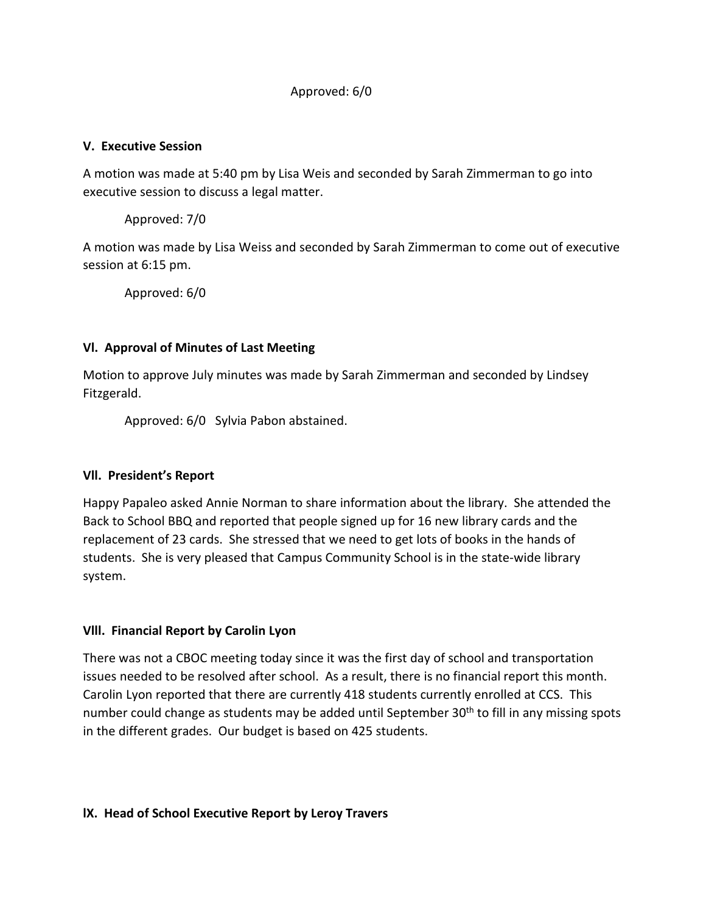# Approved: 6/0

#### **V. Executive Session**

A motion was made at 5:40 pm by Lisa Weis and seconded by Sarah Zimmerman to go into executive session to discuss a legal matter.

Approved: 7/0

A motion was made by Lisa Weiss and seconded by Sarah Zimmerman to come out of executive session at 6:15 pm.

Approved: 6/0

## **Vl. Approval of Minutes of Last Meeting**

Motion to approve July minutes was made by Sarah Zimmerman and seconded by Lindsey Fitzgerald.

Approved: 6/0 Sylvia Pabon abstained.

## **Vll. President's Report**

Happy Papaleo asked Annie Norman to share information about the library. She attended the Back to School BBQ and reported that people signed up for 16 new library cards and the replacement of 23 cards. She stressed that we need to get lots of books in the hands of students. She is very pleased that Campus Community School is in the state-wide library system.

# **Vlll. Financial Report by Carolin Lyon**

There was not a CBOC meeting today since it was the first day of school and transportation issues needed to be resolved after school. As a result, there is no financial report this month. Carolin Lyon reported that there are currently 418 students currently enrolled at CCS. This number could change as students may be added until September 30<sup>th</sup> to fill in any missing spots in the different grades. Our budget is based on 425 students.

## **lX. Head of School Executive Report by Leroy Travers**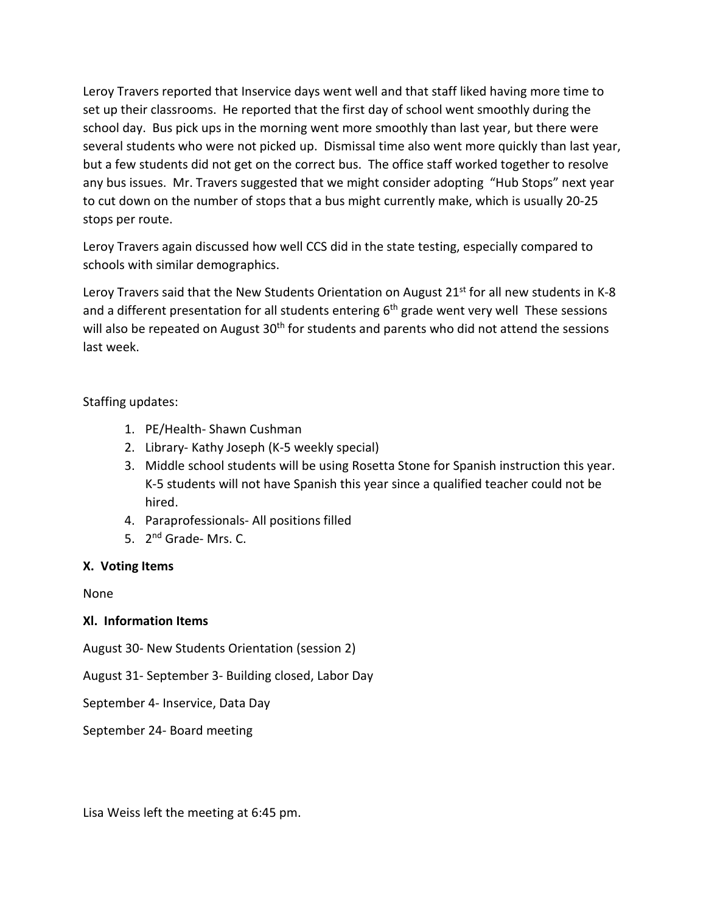Leroy Travers reported that Inservice days went well and that staff liked having more time to set up their classrooms. He reported that the first day of school went smoothly during the school day. Bus pick ups in the morning went more smoothly than last year, but there were several students who were not picked up. Dismissal time also went more quickly than last year, but a few students did not get on the correct bus. The office staff worked together to resolve any bus issues. Mr. Travers suggested that we might consider adopting "Hub Stops" next year to cut down on the number of stops that a bus might currently make, which is usually 20-25 stops per route.

Leroy Travers again discussed how well CCS did in the state testing, especially compared to schools with similar demographics.

Leroy Travers said that the New Students Orientation on August  $21^{st}$  for all new students in K-8 and a different presentation for all students entering  $6<sup>th</sup>$  grade went very well These sessions will also be repeated on August 30<sup>th</sup> for students and parents who did not attend the sessions last week.

# Staffing updates:

- 1. PE/Health- Shawn Cushman
- 2. Library- Kathy Joseph (K-5 weekly special)
- 3. Middle school students will be using Rosetta Stone for Spanish instruction this year. K-5 students will not have Spanish this year since a qualified teacher could not be hired.
- 4. Paraprofessionals- All positions filled
- 5. 2<sup>nd</sup> Grade- Mrs. C.

# **X. Voting Items**

None

# **Xl. Information Items**

August 30- New Students Orientation (session 2)

August 31- September 3- Building closed, Labor Day

September 4- Inservice, Data Day

September 24- Board meeting

Lisa Weiss left the meeting at 6:45 pm.